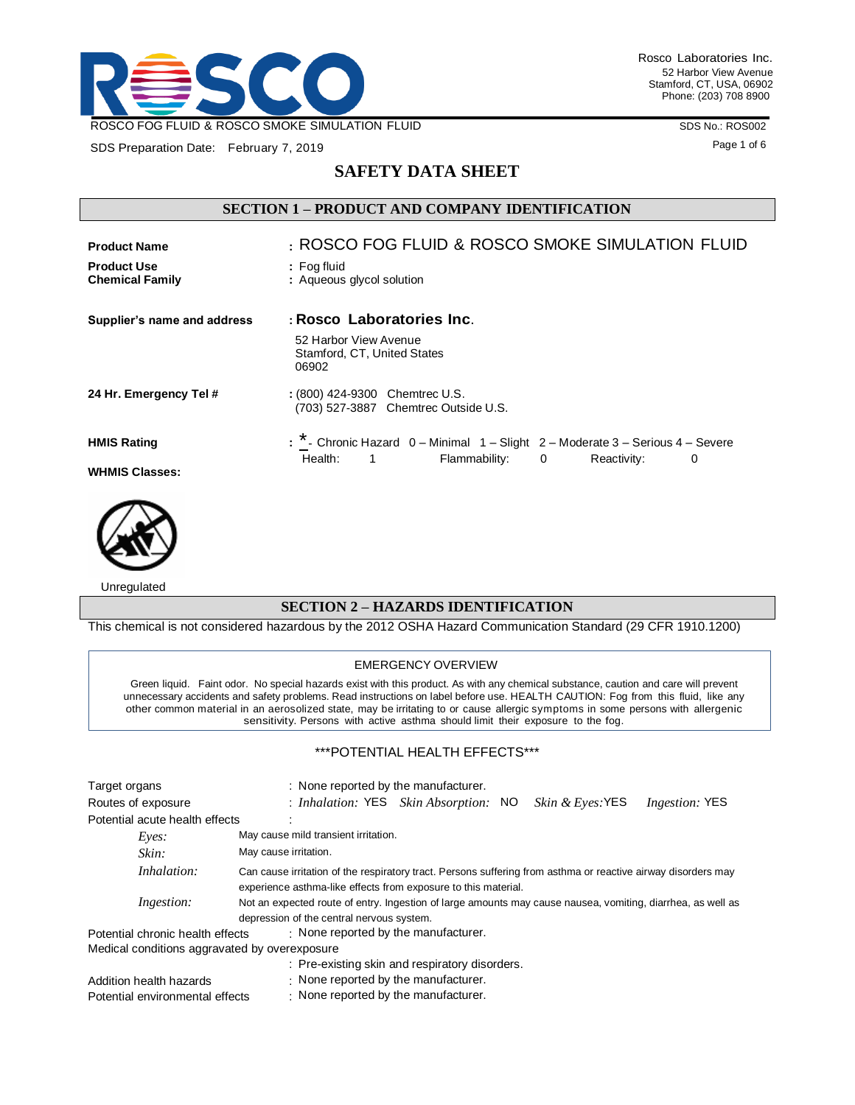

SDS Preparation Date: February 7, 2019

SDS No.: ROS002

Page 1 of 6

# **SAFETY DATA SHEET**

# **SECTION 1 – PRODUCT AND COMPANY IDENTIFICATION**

| <b>Product Name</b>                          | : ROSCO FOG FLUID & ROSCO SMOKE SIMULATION FLUID                                            |
|----------------------------------------------|---------------------------------------------------------------------------------------------|
| <b>Product Use</b><br><b>Chemical Family</b> | : Fog fluid<br>: Aqueous glycol solution                                                    |
| Supplier's name and address                  | : Rosco Laboratories Inc.                                                                   |
|                                              | 52 Harbor View Avenue<br>Stamford, CT, United States<br>06902                               |
| 24 Hr. Emergency Tel #                       | : (800) 424-9300 Chemtrec U.S.<br>(703) 527-3887 Chemtrec Outside U.S.                      |
| <b>HMIS Rating</b>                           | $\cdot$ * - Chronic Hazard $0$ – Minimal $1$ – Slight $2$ – Moderate 3 – Serious 4 – Severe |
| <b>WHMIS Classes:</b>                        | Health:<br>Flammability: 0<br>Reactivity:<br>$\sim$ 1<br>0                                  |



Unregulated

### **SECTION 2 – HAZARDS IDENTIFICATION**

This chemical is not considered hazardous by the 2012 OSHA Hazard Communication Standard (29 CFR 1910.1200)

#### EMERGENCY OVERVIEW

Green liquid. Faint odor. No special hazards exist with this product. As with any chemical substance, caution and care will prevent unnecessary accidents and safety problems. Read instructions on label before use. HEALTH CAUTION: Fog from this fluid, like any other common material in an aerosolized state, may be irritating to or cause allergic symptoms in some persons with allergenic sensitivity. Persons with active asthma should limit their exposure to the fog.

### \*\*\*POTENTIAL HEALTH EFFECTS\*\*\*

| Target organs                                 | : None reported by the manufacturer.                                                                                                                                            |
|-----------------------------------------------|---------------------------------------------------------------------------------------------------------------------------------------------------------------------------------|
| Routes of exposure                            | <i>Skin &amp; Eyes</i> : YES<br>: Inhalation: YES Skin Absorption: NO<br><i>Ingestion:</i> YES                                                                                  |
| Potential acute health effects                |                                                                                                                                                                                 |
| $E$ <i>ves</i> :                              | May cause mild transient irritation.                                                                                                                                            |
| Skin:                                         | May cause irritation.                                                                                                                                                           |
| Inhalation:                                   | Can cause irritation of the respiratory tract. Persons suffering from asthma or reactive airway disorders may<br>experience asthma-like effects from exposure to this material. |
| <i>Ingestion:</i>                             | Not an expected route of entry. Ingestion of large amounts may cause nausea, vomiting, diarrhea, as well as                                                                     |
|                                               | depression of the central nervous system.                                                                                                                                       |
| Potential chronic health effects              | : None reported by the manufacturer.                                                                                                                                            |
| Medical conditions aggravated by overexposure |                                                                                                                                                                                 |
|                                               | : Pre-existing skin and respiratory disorders.                                                                                                                                  |
| Addition health hazards                       | $\cdot$ None reported by the manufacturer.                                                                                                                                      |
| Potential environmental effects               | $\cdot$ None reported by the manufacturer.                                                                                                                                      |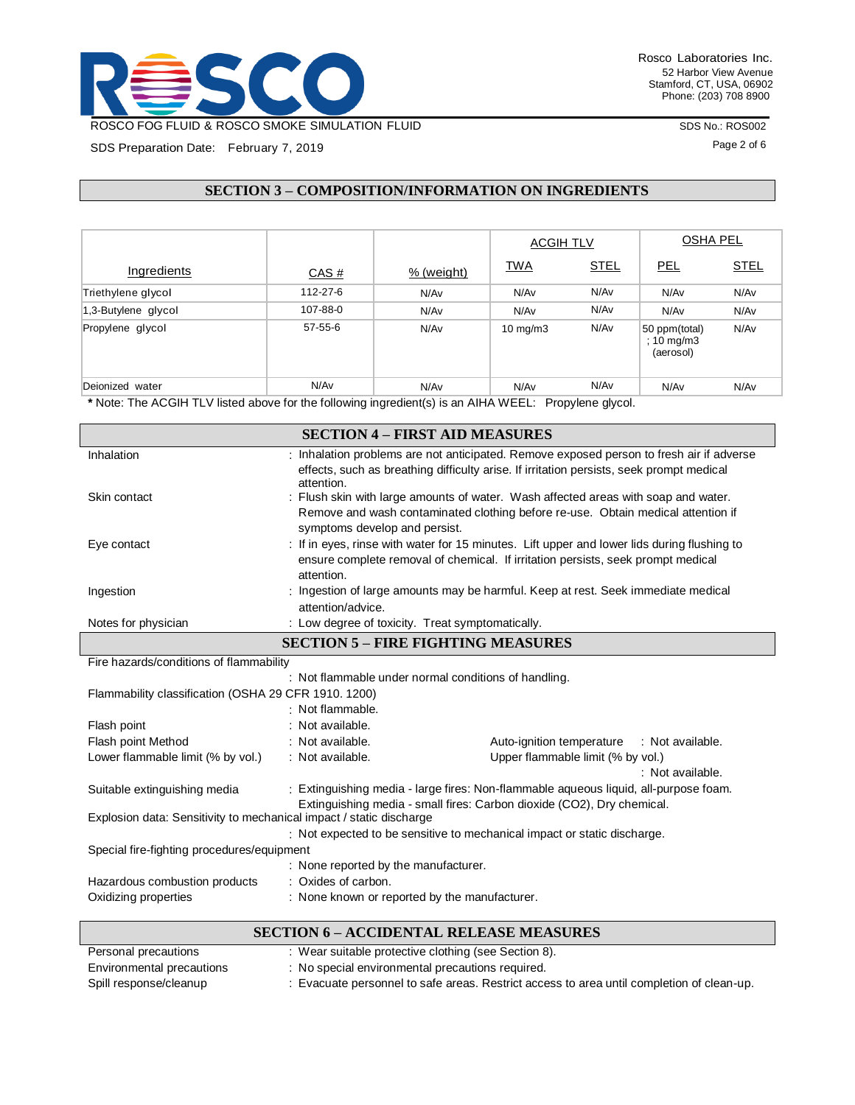

SDS Preparation Date: February 7, 2019

Rosco Laboratories Inc. 52 Harbor View Avenue Stamford, CT, USA, 06902 Phone: (203) 708 8900

SDS No.: ROS002

Page 2 of 6

# **SECTION 3 – COMPOSITION/INFORMATION ON INGREDIENTS**

|                     |          |            | <b>ACGIH TLV</b>  |             | <b>OSHA PEL</b>                          |             |
|---------------------|----------|------------|-------------------|-------------|------------------------------------------|-------------|
| Ingredients         | CAS#     | % (weight) | <b>TWA</b>        | <b>STEL</b> | <u>PEL</u>                               | <b>STEL</b> |
| Triethylene glycol  | 112-27-6 | N/Av       | N/Av              | N/Av        | N/Av                                     | N/Av        |
| 1,3-Butylene glycol | 107-88-0 | N/Av       | N/Av              | N/Av        | N/Av                                     | N/Av        |
| Propylene glycol    | 57-55-6  | N/Av       | $10 \text{ mg/m}$ | N/Av        | 50 ppm(total)<br>; 10 mg/m3<br>(aerosol) | N/Av        |
| Deionized water     | N/Av     | N/Av       | N/Av              | N/Av        | N/Av                                     | N/Av        |

**\*** Note: The ACGIH TLV listed above for the following ingredient(s) is an AIHA WEEL: Propylene glycol.

|                                                                     |                                                      | <b>SECTION 4 - FIRST AID MEASURES</b>                                                                                                                                                |  |  |
|---------------------------------------------------------------------|------------------------------------------------------|--------------------------------------------------------------------------------------------------------------------------------------------------------------------------------------|--|--|
| Inhalation                                                          | attention.                                           | : Inhalation problems are not anticipated. Remove exposed person to fresh air if adverse<br>effects, such as breathing difficulty arise. If irritation persists, seek prompt medical |  |  |
| Skin contact                                                        | symptoms develop and persist.                        | : Flush skin with large amounts of water. Wash affected areas with soap and water.<br>Remove and wash contaminated clothing before re-use. Obtain medical attention if               |  |  |
| Eye contact                                                         | attention.                                           | : If in eyes, rinse with water for 15 minutes. Lift upper and lower lids during flushing to<br>ensure complete removal of chemical. If irritation persists, seek prompt medical      |  |  |
| Ingestion                                                           | attention/advice.                                    | : Ingestion of large amounts may be harmful. Keep at rest. Seek immediate medical                                                                                                    |  |  |
| Notes for physician                                                 | : Low degree of toxicity. Treat symptomatically.     |                                                                                                                                                                                      |  |  |
| <b>SECTION 5 - FIRE FIGHTING MEASURES</b>                           |                                                      |                                                                                                                                                                                      |  |  |
| Fire hazards/conditions of flammability                             |                                                      |                                                                                                                                                                                      |  |  |
| Flammability classification (OSHA 29 CFR 1910. 1200)                | : Not flammable.                                     | : Not flammable under normal conditions of handling.                                                                                                                                 |  |  |
| Flash point                                                         | : Not available.                                     |                                                                                                                                                                                      |  |  |
| Flash point Method                                                  | : Not available.                                     | Auto-ignition temperature<br>: Not available.                                                                                                                                        |  |  |
| Lower flammable limit (% by vol.)                                   | : Not available.                                     | Upper flammable limit (% by vol.)<br>: Not available.                                                                                                                                |  |  |
| Suitable extinguishing media                                        |                                                      | : Extinguishing media - large fires: Non-flammable aqueous liquid, all-purpose foam.<br>Extinguishing media - small fires: Carbon dioxide (CO2), Dry chemical.                       |  |  |
| Explosion data: Sensitivity to mechanical impact / static discharge |                                                      |                                                                                                                                                                                      |  |  |
|                                                                     |                                                      | Not expected to be sensitive to mechanical impact or static discharge.                                                                                                               |  |  |
| Special fire-fighting procedures/equipment                          |                                                      |                                                                                                                                                                                      |  |  |
|                                                                     | : None reported by the manufacturer.                 |                                                                                                                                                                                      |  |  |
| Hazardous combustion products                                       | : Oxides of carbon.                                  |                                                                                                                                                                                      |  |  |
| Oxidizing properties                                                | : None known or reported by the manufacturer.        |                                                                                                                                                                                      |  |  |
|                                                                     |                                                      | <b>SECTION 6 - ACCIDENTAL RELEASE MEASURES</b>                                                                                                                                       |  |  |
| Personal precautions                                                | : Wear suitable protective clothing (see Section 8). |                                                                                                                                                                                      |  |  |
| Environmental precautions                                           | : No special environmental precautions required.     |                                                                                                                                                                                      |  |  |

Spill response/cleanup : Evacuate personnel to safe areas. Restrict access to area until completion of clean-up.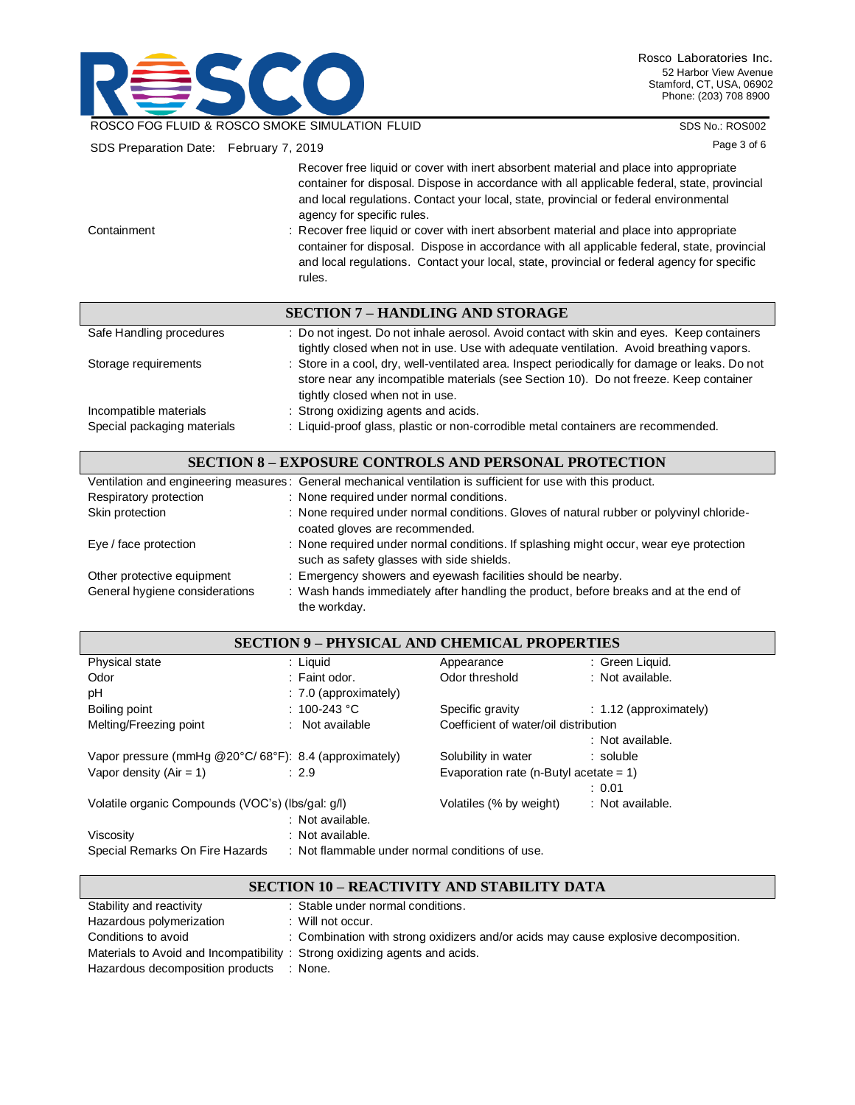

SDS No.: ROS002

| SDS Preparation Date: February 7, 2019 | Page 3 of 6                                                                                                                                                                                                                                                                                                                                                                                                                                                                                                                                                                                                      |
|----------------------------------------|------------------------------------------------------------------------------------------------------------------------------------------------------------------------------------------------------------------------------------------------------------------------------------------------------------------------------------------------------------------------------------------------------------------------------------------------------------------------------------------------------------------------------------------------------------------------------------------------------------------|
| Containment                            | Recover free liquid or cover with inert absorbent material and place into appropriate<br>container for disposal. Dispose in accordance with all applicable federal, state, provincial<br>and local regulations. Contact your local, state, provincial or federal environmental<br>agency for specific rules.<br>: Recover free liquid or cover with inert absorbent material and place into appropriate<br>container for disposal. Dispose in accordance with all applicable federal, state, provincial<br>and local regulations. Contact your local, state, provincial or federal agency for specific<br>rules. |
|                                        | <b>SECTION 7 – HANDLING AND STORAGE</b>                                                                                                                                                                                                                                                                                                                                                                                                                                                                                                                                                                          |
| Safe Handling procedures               | : Do not ingest. Do not inhale aerosol. Avoid contact with skin and eyes. Keep containers<br>tightly closed when not in use. Use with adequate ventilation. Avoid breathing vapors.                                                                                                                                                                                                                                                                                                                                                                                                                              |
| Storage requirements                   | : Store in a cool, dry, well-ventilated area. Inspect periodically for damage or leaks. Do not<br>store near any incompatible materials (see Section 10). Do not freeze. Keep container<br>tightly closed when not in use.                                                                                                                                                                                                                                                                                                                                                                                       |
| Incompatible materials                 | : Strong oxidizing agents and acids.                                                                                                                                                                                                                                                                                                                                                                                                                                                                                                                                                                             |

| Special packaging materials | : Liquid-proof glass, plastic or non-corrodible metal containers are recommended. |
|-----------------------------|-----------------------------------------------------------------------------------|
|                             |                                                                                   |

# **SECTION 8 – EXPOSURE CONTROLS AND PERSONAL PROTECTION**

|                                | Ventilation and engineering measures: General mechanical ventilation is sufficient for use with this product.                       |
|--------------------------------|-------------------------------------------------------------------------------------------------------------------------------------|
| Respiratory protection         | : None required under normal conditions.                                                                                            |
| Skin protection                | : None required under normal conditions. Gloves of natural rubber or polyvinyl chloride-<br>coated gloves are recommended.          |
| Eye / face protection          | : None required under normal conditions. If splashing might occur, wear eye protection<br>such as safety glasses with side shields. |
| Other protective equipment     | : Emergency showers and eyewash facilities should be nearby.                                                                        |
| General hygiene considerations | : Wash hands immediately after handling the product, before breaks and at the end of<br>the workday.                                |

### **SECTION 9 – PHYSICAL AND CHEMICAL PROPERTIES**

| Physical state                                                                     | : Liguid                | Appearance                                | : Green Liquid.          |  |
|------------------------------------------------------------------------------------|-------------------------|-------------------------------------------|--------------------------|--|
| Odor                                                                               | : Faint odor.           | Odor threshold                            | : Not available.         |  |
| рH                                                                                 | $: 7.0$ (approximately) |                                           |                          |  |
| Boiling point                                                                      | : 100-243 °C            | Specific gravity                          | $: 1.12$ (approximately) |  |
| Melting/Freezing point                                                             | : Not available         | Coefficient of water/oil distribution     |                          |  |
|                                                                                    |                         |                                           | : Not available.         |  |
| Vapor pressure (mmHg @20°C/68°F): 8.4 (approximately)                              |                         | Solubility in water                       | $:$ soluble              |  |
| Vapor density $(Air = 1)$<br>: 2.9                                                 |                         | Evaporation rate (n-Butyl acetate = $1$ ) |                          |  |
|                                                                                    |                         |                                           | : 0.01                   |  |
| Volatile organic Compounds (VOC's) (Ibs/gal: g/l)                                  |                         | Volatiles (% by weight)                   | : Not available.         |  |
|                                                                                    | : Not available.        |                                           |                          |  |
| Viscosity                                                                          | : Not available.        |                                           |                          |  |
| Special Remarks On Fire Hazards<br>: Not flammable under normal conditions of use. |                         |                                           |                          |  |

# **SECTION 10 – REACTIVITY AND STABILITY DATA**

| Stability and reactivity                                                   | : Stable under normal conditions.                                                   |
|----------------------------------------------------------------------------|-------------------------------------------------------------------------------------|
| Hazardous polymerization                                                   | $\therefore$ Will not occur.                                                        |
| Conditions to avoid                                                        | : Combination with strong oxidizers and/or acids may cause explosive decomposition. |
| Materials to Avoid and Incompatibility: Strong oxidizing agents and acids. |                                                                                     |
| Hazardous decomposition products                                           | : None.                                                                             |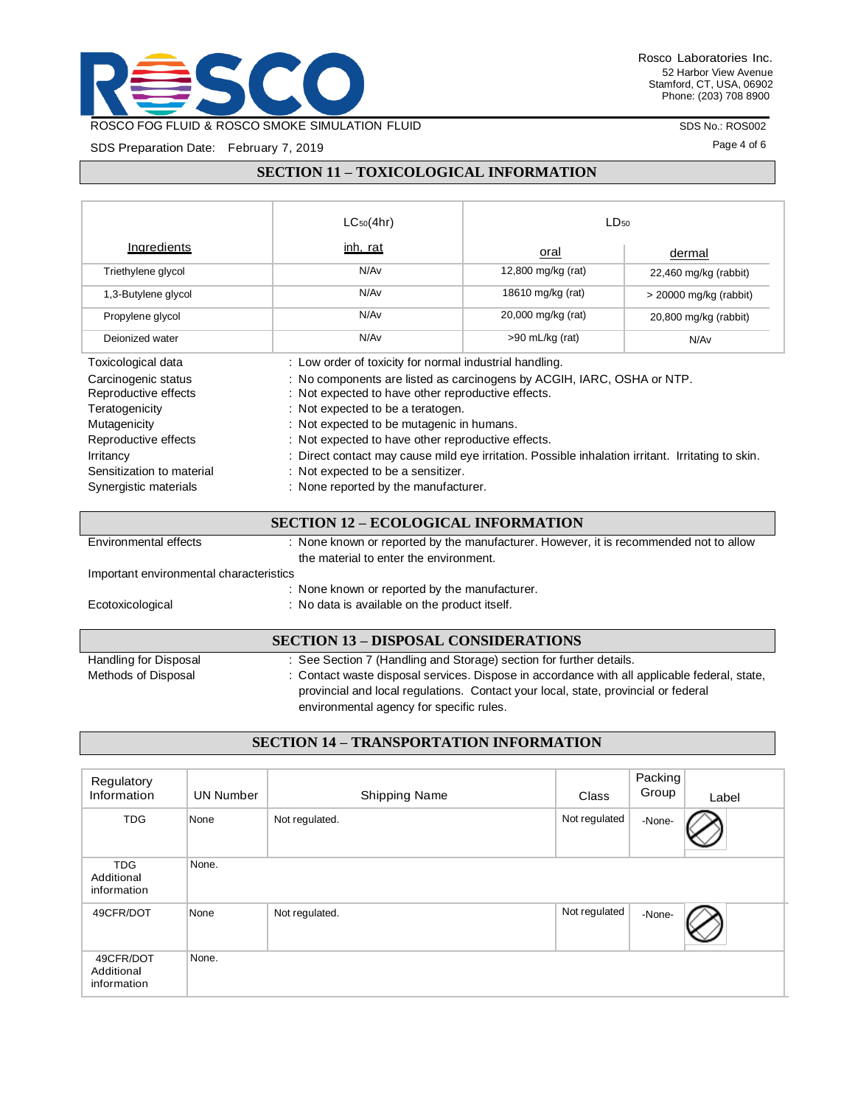

SDS No.: ROS002

Page 4 of 6

SDS Preparation Date: February 7, 2019

### **SECTION 11 – TOXICOLOGICAL INFORMATION**

|                                                               | $LC_{50}(4hr)$                                                                                                                                                    | $LD_{50}$          |                          |
|---------------------------------------------------------------|-------------------------------------------------------------------------------------------------------------------------------------------------------------------|--------------------|--------------------------|
| <b>Ingredients</b>                                            | inh, rat                                                                                                                                                          | oral               | dermal                   |
| Triethylene glycol                                            | N/Av                                                                                                                                                              | 12,800 mg/kg (rat) | 22,460 mg/kg (rabbit)    |
| 1,3-Butylene glycol                                           | N/Av                                                                                                                                                              | 18610 mg/kg (rat)  | $>$ 20000 mg/kg (rabbit) |
| Propylene glycol                                              | N/Av                                                                                                                                                              | 20,000 mg/kg (rat) | 20,800 mg/kg (rabbit)    |
| Deionized water                                               | N/Av                                                                                                                                                              | >90 mL/kg (rat)    | N/Av                     |
| Toxicological data                                            | : Low order of toxicity for normal industrial handling.                                                                                                           |                    |                          |
| Carcinogenic status<br>Reproductive effects<br>Teratogenicity | : No components are listed as carcinogens by ACGIH, IARC, OSHA or NTP.<br>: Not expected to have other reproductive effects.<br>: Not expected to be a teratogen. |                    |                          |
| Mutagenicity                                                  | : Not expected to be mutagenic in humans.                                                                                                                         |                    |                          |
| Reproductive effects                                          | : Not expected to have other reproductive effects.                                                                                                                |                    |                          |
| Irritancy                                                     | : Direct contact may cause mild eye irritation. Possible inhalation irritant. Irritating to skin.                                                                 |                    |                          |
| Sensitization to material                                     | : Not expected to be a sensitizer.                                                                                                                                |                    |                          |
| Synergistic materials                                         | : None reported by the manufacturer.                                                                                                                              |                    |                          |
|                                                               | GEOTION 10 - EOOL OCIO IL INEODMATIONI                                                                                                                            |                    |                          |

| <b>SECTION 12 - ECOLOGICAL INFORMATION</b> |                                                                                       |  |
|--------------------------------------------|---------------------------------------------------------------------------------------|--|
| Environmental effects                      | : None known or reported by the manufacturer. However, it is recommended not to allow |  |
|                                            | the material to enter the environment.                                                |  |
| Important environmental characteristics    |                                                                                       |  |
|                                            | : None known or reported by the manufacturer.                                         |  |
| Ecotoxicological                           | : No data is available on the product itself.                                         |  |
|                                            |                                                                                       |  |
|                                            | <b>SECTION 13 – DISPOSAL CONSIDERATIONS</b>                                           |  |
| Handling for Disposal                      | : See Section 7 (Handling and Storage) section for further details.                   |  |

| Methods of Disposal | : Contact waste disposal services. Dispose in accordance with all applicable federal, state, |
|---------------------|----------------------------------------------------------------------------------------------|
|                     | provincial and local regulations. Contact your local, state, provincial or federal           |
|                     | environmental agency for specific rules.                                                     |

# **SECTION 14 – TRANSPORTATION INFORMATION**

| Regulatory<br>Information               | <b>UN Number</b> | <b>Shipping Name</b> | Class         | Packing<br>Group | Label |
|-----------------------------------------|------------------|----------------------|---------------|------------------|-------|
| <b>TDG</b>                              | None             | Not regulated.       | Not regulated | -None-           |       |
| <b>TDG</b><br>Additional<br>information | None.            |                      |               |                  |       |
| 49CFR/DOT                               | None             | Not regulated.       | Not regulated | -None-           |       |
| 49CFR/DOT<br>Additional<br>information  | None.            |                      |               |                  |       |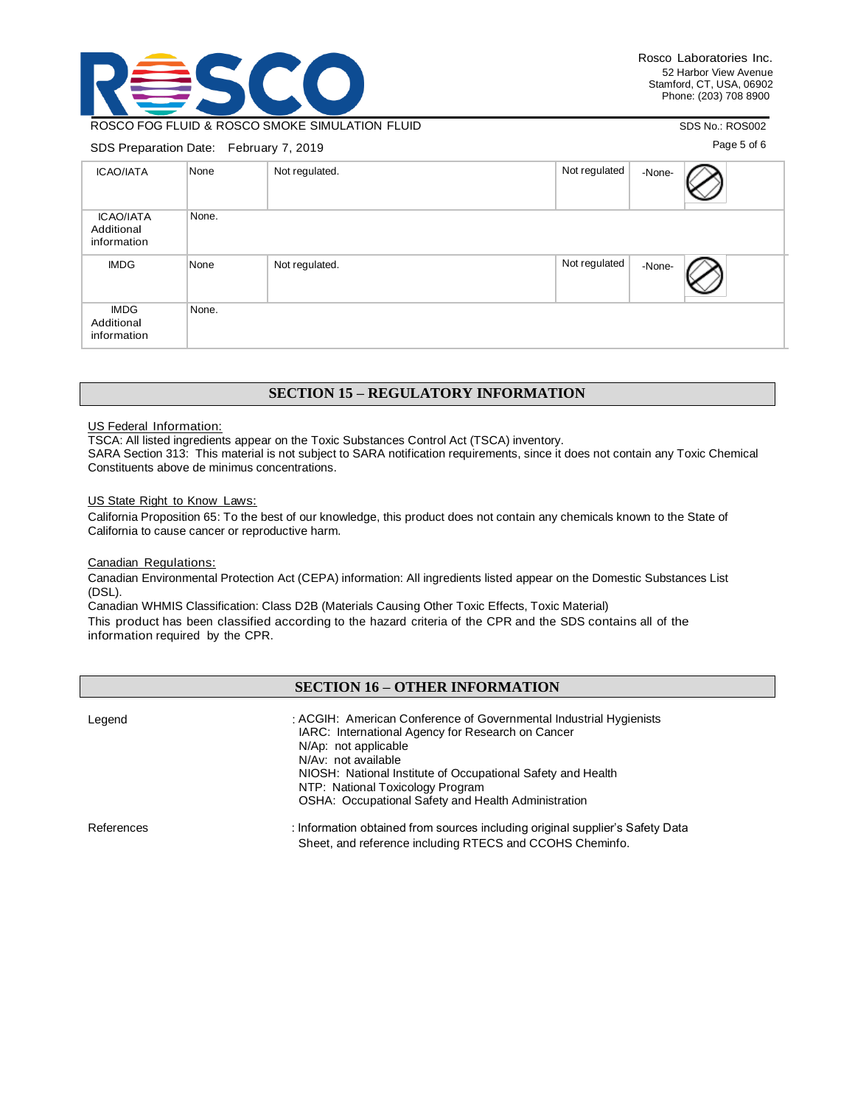

### ROSCO FOG FLUID & ROSCO SMOKE SIMULATION FLUID

#### SDS Preparation Date: February 7, 2019

SDS No.: ROS002

Page 5 of 6

| 000 reparation Date: Cordary 7, 2010          |       |                |               |        |  |  |
|-----------------------------------------------|-------|----------------|---------------|--------|--|--|
| <b>ICAO/IATA</b>                              | None  | Not regulated. | Not regulated | -None- |  |  |
| <b>ICAO/IATA</b><br>Additional<br>information | None. |                |               |        |  |  |
| <b>IMDG</b>                                   | None  | Not regulated. | Not regulated | -None- |  |  |
| <b>IMDG</b><br>Additional<br>information      | None. |                |               |        |  |  |

### **SECTION 15 – REGULATORY INFORMATION**

#### US Federal Information:

TSCA: All listed ingredients appear on the Toxic Substances Control Act (TSCA) inventory.

SARA Section 313: This material is not subject to SARA notification requirements, since it does not contain any Toxic Chemical Constituents above de minimus concentrations.

#### US State Right to Know Laws:

California Proposition 65: To the best of our knowledge, this product does not contain any chemicals known to the State of California to cause cancer or reproductive harm.

#### Canadian Regulations:

Canadian Environmental Protection Act (CEPA) information: All ingredients listed appear on the Domestic Substances List (DSL).

Canadian WHMIS Classification: Class D2B (Materials Causing Other Toxic Effects, Toxic Material) This product has been classified according to the hazard criteria of the CPR and the SDS contains all of the information required by the CPR.

# **SECTION 16 – OTHER INFORMATION**

| Legend     | : ACGIH: American Conference of Governmental Industrial Hygienists<br>IARC: International Agency for Research on Cancer<br>N/Ap: not applicable<br>N/Av: not available<br>NIOSH: National Institute of Occupational Safety and Health<br>NTP: National Toxicology Program<br>OSHA: Occupational Safety and Health Administration |
|------------|----------------------------------------------------------------------------------------------------------------------------------------------------------------------------------------------------------------------------------------------------------------------------------------------------------------------------------|
| References | : Information obtained from sources including original supplier's Safety Data<br>Sheet, and reference including RTECS and CCOHS Cheminfo.                                                                                                                                                                                        |